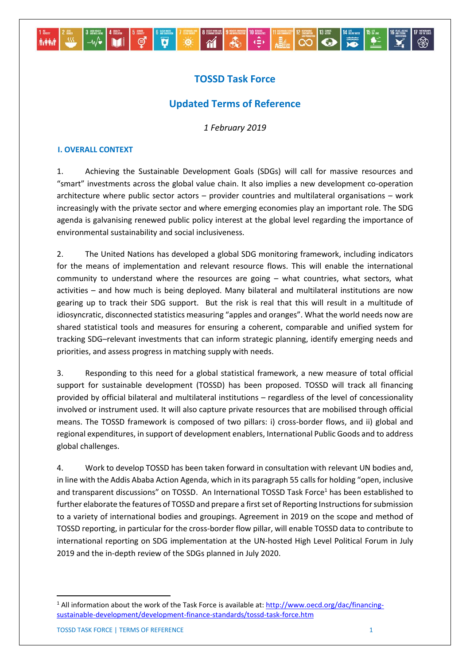# **TOSSD Task Force**

# **Updated Terms of Reference**

*1 February 2019*

### **I. OVERALL CONTEXT**

1. Achieving the Sustainable Development Goals (SDGs) will call for massive resources and "smart" investments across the global value chain. It also implies a new development co-operation architecture where public sector actors – provider countries and multilateral organisations – work increasingly with the private sector and where emerging economies play an important role. The SDG agenda is galvanising renewed public policy interest at the global level regarding the importance of environmental sustainability and social inclusiveness.

2. The United Nations has developed a global SDG monitoring framework, including indicators for the means of implementation and relevant resource flows. This will enable the international community to understand where the resources are going – what countries, what sectors, what activities – and how much is being deployed. Many bilateral and multilateral institutions are now gearing up to track their SDG support. But the risk is real that this will result in a multitude of idiosyncratic, disconnected statistics measuring "apples and oranges". What the world needs now are shared statistical tools and measures for ensuring a coherent, comparable and unified system for tracking SDG–relevant investments that can inform strategic planning, identify emerging needs and priorities, and assess progress in matching supply with needs.

3. Responding to this need for a global statistical framework, a new measure of total official support for sustainable development (TOSSD) has been proposed. TOSSD will track all financing provided by official bilateral and multilateral institutions – regardless of the level of concessionality involved or instrument used. It will also capture private resources that are mobilised through official means. The TOSSD framework is composed of two pillars: i) cross-border flows, and ii) global and regional expenditures, in support of development enablers, International Public Goods and to address global challenges.

4. Work to develop TOSSD has been taken forward in consultation with relevant UN bodies and, in line with the Addis Ababa Action Agenda, which in its paragraph 55 calls for holding "open, inclusive and transparent discussions" on TOSSD. An International TOSSD Task Force<sup>1</sup> has been established to further elaborate the features of TOSSD and prepare a first set of Reporting Instructions for submission to a variety of international bodies and groupings. Agreement in 2019 on the scope and method of TOSSD reporting, in particular for the cross-border flow pillar, will enable TOSSD data to contribute to international reporting on SDG implementation at the UN-hosted High Level Political Forum in July 2019 and the in-depth review of the SDGs planned in July 2020.

1

<sup>&</sup>lt;sup>1</sup> All information about the work of the Task Force is available at: [http://www.oecd.org/dac/financing](http://www.oecd.org/dac/financing-sustainable-development/development-finance-standards/tossd-task-force.htm)[sustainable-development/development-finance-standards/tossd-task-force.htm](http://www.oecd.org/dac/financing-sustainable-development/development-finance-standards/tossd-task-force.htm)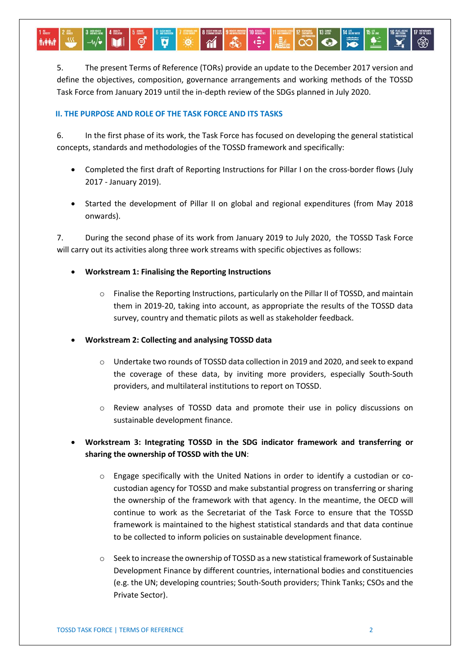5. The present Terms of Reference (TORs) provide an update to the December 2017 version and define the objectives, composition, governance arrangements and working methods of the TOSSD Task Force from January 2019 until the in-depth review of the SDGs planned in July 2020.

 $\sqrt{2}$ 

#### **II. THE PURPOSE AND ROLE OF THE TASK FORCE AND ITS TASKS**

6. In the first phase of its work, the Task Force has focused on developing the general statistical concepts, standards and methodologies of the TOSSD framework and specifically:

- Completed the first draft of Reporting Instructions for Pillar I on the cross-border flows (July 2017 - January 2019).
- Started the development of Pillar II on global and regional expenditures (from May 2018 onwards).

7. During the second phase of its work from January 2019 to July 2020, the TOSSD Task Force will carry out its activities along three work streams with specific objectives as follows:

- **Workstream 1: Finalising the Reporting Instructions** 
	- o Finalise the Reporting Instructions, particularly on the Pillar II of TOSSD, and maintain them in 2019-20, taking into account, as appropriate the results of the TOSSD data survey, country and thematic pilots as well as stakeholder feedback.
- **Workstream 2: Collecting and analysing TOSSD data**
	- o Undertake two rounds of TOSSD data collection in 2019 and 2020, and seek to expand the coverage of these data, by inviting more providers, especially South-South providers, and multilateral institutions to report on TOSSD.
	- o Review analyses of TOSSD data and promote their use in policy discussions on sustainable development finance.
- **Workstream 3: Integrating TOSSD in the SDG indicator framework and transferring or sharing the ownership of TOSSD with the UN**:
	- o Engage specifically with the United Nations in order to identify a custodian or cocustodian agency for TOSSD and make substantial progress on transferring or sharing the ownership of the framework with that agency. In the meantime, the OECD will continue to work as the Secretariat of the Task Force to ensure that the TOSSD framework is maintained to the highest statistical standards and that data continue to be collected to inform policies on sustainable development finance.
	- o Seek to increase the ownership of TOSSD as a new statistical framework of Sustainable Development Finance by different countries, international bodies and constituencies (e.g. the UN; developing countries; South-South providers; Think Tanks; CSOs and the Private Sector).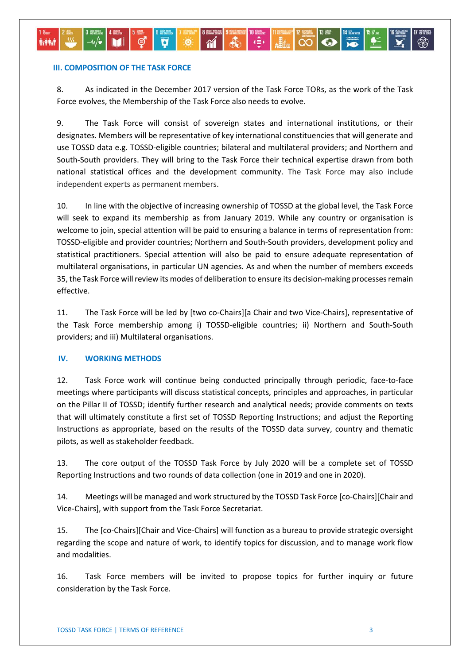#### **III. COMPOSITION OF THE TASK FORCE**

**A-44-4** 

8. As indicated in the December 2017 version of the Task Force TORs, as the work of the Task Force evolves, the Membership of the Task Force also needs to evolve.

 $\ddot{\bullet}$ 

 $\overline{a}$ 

9. The Task Force will consist of sovereign states and international institutions, or their designates. Members will be representative of key international constituencies that will generate and use TOSSD data e.g. TOSSD-eligible countries; bilateral and multilateral providers; and Northern and South-South providers. They will bring to the Task Force their technical expertise drawn from both national statistical offices and the development community. The Task Force may also include independent experts as permanent members.

10. In line with the objective of increasing ownership of TOSSD at the global level, the Task Force will seek to expand its membership as from January 2019. While any country or organisation is welcome to join, special attention will be paid to ensuring a balance in terms of representation from: TOSSD-eligible and provider countries; Northern and South-South providers, development policy and statistical practitioners. Special attention will also be paid to ensure adequate representation of multilateral organisations, in particular UN agencies. As and when the number of members exceeds 35, the Task Force will review its modes of deliberation to ensure its decision-making processes remain effective.

11. The Task Force will be led by [two co-Chairs][a Chair and two Vice-Chairs], representative of the Task Force membership among i) TOSSD-eligible countries; ii) Northern and South-South providers; and iii) Multilateral organisations.

## **IV. WORKING METHODS**

12. Task Force work will continue being conducted principally through periodic, face-to-face meetings where participants will discuss statistical concepts, principles and approaches, in particular on the Pillar II of TOSSD; identify further research and analytical needs; provide comments on texts that will ultimately constitute a first set of TOSSD Reporting Instructions; and adjust the Reporting Instructions as appropriate, based on the results of the TOSSD data survey, country and thematic pilots, as well as stakeholder feedback.

13. The core output of the TOSSD Task Force by July 2020 will be a complete set of TOSSD Reporting Instructions and two rounds of data collection (one in 2019 and one in 2020).

14. Meetings will be managed and work structured by the TOSSD Task Force [co-Chairs][Chair and Vice-Chairs], with support from the Task Force Secretariat.

15. The [co-Chairs][Chair and Vice-Chairs] will function as a bureau to provide strategic oversight regarding the scope and nature of work, to identify topics for discussion, and to manage work flow and modalities.

16. Task Force members will be invited to propose topics for further inquiry or future consideration by the Task Force.